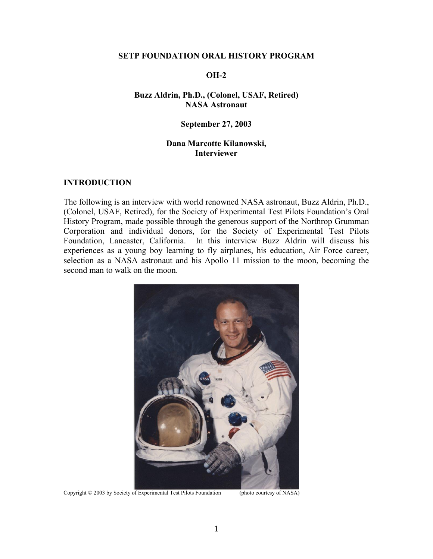#### **SETP FOUNDATION ORAL HISTORY PROGRAM**

### **OH-2**

## **Buzz Aldrin, Ph.D., (Colonel, USAF, Retired) NASA Astronaut**

### **September 27, 2003**

# **Dana Marcotte Kilanowski, Interviewer**

### **INTRODUCTION**

The following is an interview with world renowned NASA astronaut, Buzz Aldrin, Ph.D., (Colonel, USAF, Retired), for the Society of Experimental Test Pilots Foundation's Oral History Program, made possible through the generous support of the Northrop Grumman Corporation and individual donors, for the Society of Experimental Test Pilots Foundation, Lancaster, California. In this interview Buzz Aldrin will discuss his experiences as a young boy learning to fly airplanes, his education, Air Force career, selection as a NASA astronaut and his Apollo 11 mission to the moon, becoming the second man to walk on the moon.



Copyright © 2003 by Society of Experimental Test Pilots Foundation (photo courtesy of NASA)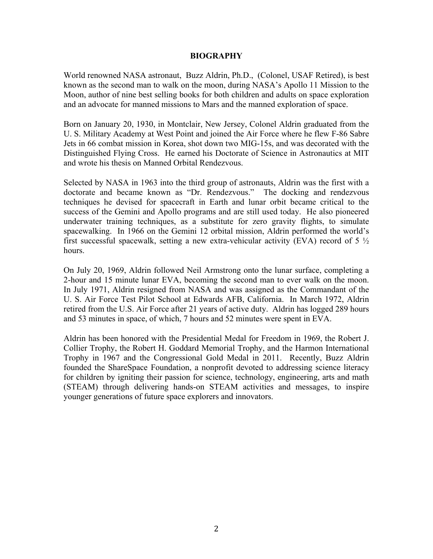### **BIOGRAPHY**

World renowned NASA astronaut, Buzz Aldrin, Ph.D., (Colonel, USAF Retired), is best known as the second man to walk on the moon, during NASA's Apollo 11 Mission to the Moon, author of nine best selling books for both children and adults on space exploration and an advocate for manned missions to Mars and the manned exploration of space.

Born on January 20, 1930, in Montclair, New Jersey, Colonel Aldrin graduated from the U. S. Military Academy at West Point and joined the Air Force where he flew F-86 Sabre Jets in 66 combat mission in Korea, shot down two MIG-15s, and was decorated with the Distinguished Flying Cross. He earned his Doctorate of Science in Astronautics at MIT and wrote his thesis on Manned Orbital Rendezvous.

Selected by NASA in 1963 into the third group of astronauts, Aldrin was the first with a doctorate and became known as "Dr. Rendezvous." The docking and rendezvous techniques he devised for spacecraft in Earth and lunar orbit became critical to the success of the Gemini and Apollo programs and are still used today. He also pioneered underwater training techniques, as a substitute for zero gravity flights, to simulate spacewalking. In 1966 on the Gemini 12 orbital mission, Aldrin performed the world's first successful spacewalk, setting a new extra-vehicular activity (EVA) record of  $5\frac{1}{2}$ hours.

On July 20, 1969, Aldrin followed Neil Armstrong onto the lunar surface, completing a 2-hour and 15 minute lunar EVA, becoming the second man to ever walk on the moon. In July 1971, Aldrin resigned from NASA and was assigned as the Commandant of the U. S. Air Force Test Pilot School at Edwards AFB, California. In March 1972, Aldrin retired from the U.S. Air Force after 21 years of active duty. Aldrin has logged 289 hours and 53 minutes in space, of which, 7 hours and 52 minutes were spent in EVA.

Aldrin has been honored with the Presidential Medal for Freedom in 1969, the Robert J. Collier Trophy, the Robert H. Goddard Memorial Trophy, and the Harmon International Trophy in 1967 and the Congressional Gold Medal in 2011. Recently, Buzz Aldrin founded the ShareSpace Foundation, a nonprofit devoted to addressing science literacy for children by igniting their passion for science, technology, engineering, arts and math (STEAM) through delivering hands-on STEAM activities and messages, to inspire younger generations of future space explorers and innovators.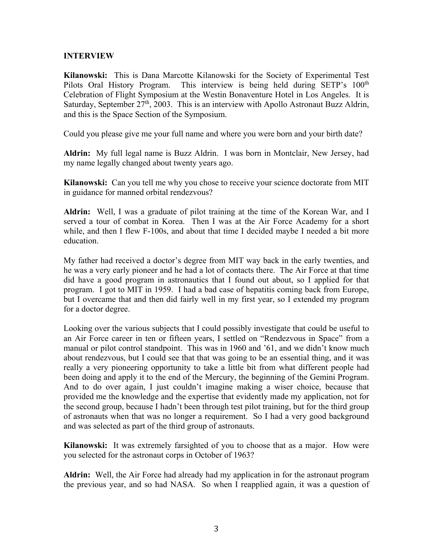## **INTERVIEW**

**Kilanowski:** This is Dana Marcotte Kilanowski for the Society of Experimental Test Pilots Oral History Program. This interview is being held during SETP's 100<sup>th</sup> Celebration of Flight Symposium at the Westin Bonaventure Hotel in Los Angeles. It is Saturday, September  $27<sup>th</sup>$ ,  $2003$ . This is an interview with Apollo Astronaut Buzz Aldrin, and this is the Space Section of the Symposium.

Could you please give me your full name and where you were born and your birth date?

**Aldrin:** My full legal name is Buzz Aldrin. I was born in Montclair, New Jersey, had my name legally changed about twenty years ago.

**Kilanowski:** Can you tell me why you chose to receive your science doctorate from MIT in guidance for manned orbital rendezvous?

**Aldrin:** Well, I was a graduate of pilot training at the time of the Korean War, and I served a tour of combat in Korea. Then I was at the Air Force Academy for a short while, and then I flew F-100s, and about that time I decided maybe I needed a bit more education.

My father had received a doctor's degree from MIT way back in the early twenties, and he was a very early pioneer and he had a lot of contacts there. The Air Force at that time did have a good program in astronautics that I found out about, so I applied for that program. I got to MIT in 1959. I had a bad case of hepatitis coming back from Europe, but I overcame that and then did fairly well in my first year, so I extended my program for a doctor degree.

Looking over the various subjects that I could possibly investigate that could be useful to an Air Force career in ten or fifteen years, I settled on "Rendezvous in Space" from a manual or pilot control standpoint. This was in 1960 and '61, and we didn't know much about rendezvous, but I could see that that was going to be an essential thing, and it was really a very pioneering opportunity to take a little bit from what different people had been doing and apply it to the end of the Mercury, the beginning of the Gemini Program. And to do over again, I just couldn't imagine making a wiser choice, because that provided me the knowledge and the expertise that evidently made my application, not for the second group, because I hadn't been through test pilot training, but for the third group of astronauts when that was no longer a requirement. So I had a very good background and was selected as part of the third group of astronauts.

**Kilanowski:** It was extremely farsighted of you to choose that as a major. How were you selected for the astronaut corps in October of 1963?

**Aldrin:** Well, the Air Force had already had my application in for the astronaut program the previous year, and so had NASA. So when I reapplied again, it was a question of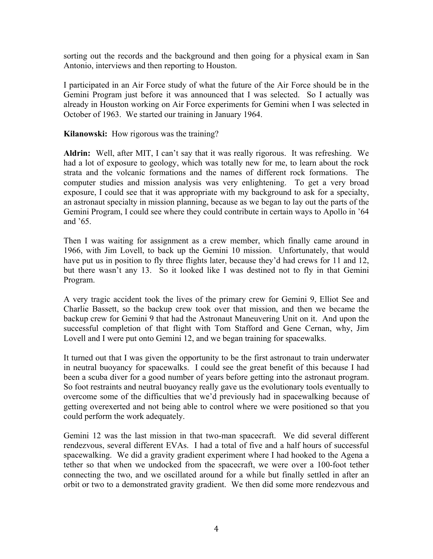sorting out the records and the background and then going for a physical exam in San Antonio, interviews and then reporting to Houston.

I participated in an Air Force study of what the future of the Air Force should be in the Gemini Program just before it was announced that I was selected. So I actually was already in Houston working on Air Force experiments for Gemini when I was selected in October of 1963. We started our training in January 1964.

**Kilanowski:** How rigorous was the training?

**Aldrin:** Well, after MIT, I can't say that it was really rigorous. It was refreshing. We had a lot of exposure to geology, which was totally new for me, to learn about the rock strata and the volcanic formations and the names of different rock formations. The computer studies and mission analysis was very enlightening. To get a very broad exposure, I could see that it was appropriate with my background to ask for a specialty, an astronaut specialty in mission planning, because as we began to lay out the parts of the Gemini Program, I could see where they could contribute in certain ways to Apollo in '64 and '65.

Then I was waiting for assignment as a crew member, which finally came around in 1966, with Jim Lovell, to back up the Gemini 10 mission. Unfortunately, that would have put us in position to fly three flights later, because they'd had crews for 11 and 12, but there wasn't any 13. So it looked like I was destined not to fly in that Gemini Program.

A very tragic accident took the lives of the primary crew for Gemini 9, Elliot See and Charlie Bassett, so the backup crew took over that mission, and then we became the backup crew for Gemini 9 that had the Astronaut Maneuvering Unit on it. And upon the successful completion of that flight with Tom Stafford and Gene Cernan, why, Jim Lovell and I were put onto Gemini 12, and we began training for spacewalks.

It turned out that I was given the opportunity to be the first astronaut to train underwater in neutral buoyancy for spacewalks. I could see the great benefit of this because I had been a scuba diver for a good number of years before getting into the astronaut program. So foot restraints and neutral buoyancy really gave us the evolutionary tools eventually to overcome some of the difficulties that we'd previously had in spacewalking because of getting overexerted and not being able to control where we were positioned so that you could perform the work adequately.

Gemini 12 was the last mission in that two-man spacecraft. We did several different rendezvous, several different EVAs. I had a total of five and a half hours of successful spacewalking. We did a gravity gradient experiment where I had hooked to the Agena a tether so that when we undocked from the spacecraft, we were over a 100-foot tether connecting the two, and we oscillated around for a while but finally settled in after an orbit or two to a demonstrated gravity gradient. We then did some more rendezvous and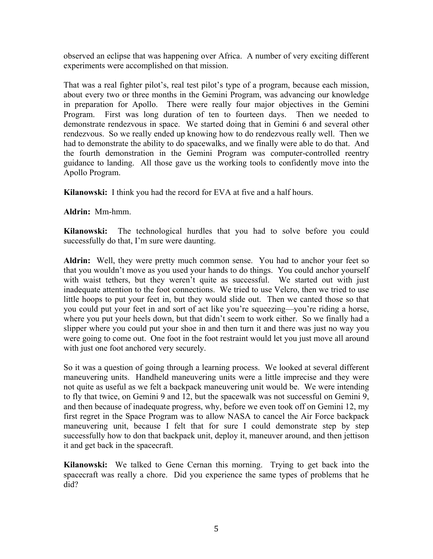observed an eclipse that was happening over Africa. A number of very exciting different experiments were accomplished on that mission.

That was a real fighter pilot's, real test pilot's type of a program, because each mission, about every two or three months in the Gemini Program, was advancing our knowledge in preparation for Apollo. There were really four major objectives in the Gemini Program. First was long duration of ten to fourteen days. Then we needed to demonstrate rendezvous in space. We started doing that in Gemini 6 and several other rendezvous. So we really ended up knowing how to do rendezvous really well. Then we had to demonstrate the ability to do spacewalks, and we finally were able to do that. And the fourth demonstration in the Gemini Program was computer-controlled reentry guidance to landing. All those gave us the working tools to confidently move into the Apollo Program.

**Kilanowski:** I think you had the record for EVA at five and a half hours.

**Aldrin:** Mm-hmm.

**Kilanowski:** The technological hurdles that you had to solve before you could successfully do that, I'm sure were daunting.

**Aldrin:** Well, they were pretty much common sense. You had to anchor your feet so that you wouldn't move as you used your hands to do things. You could anchor yourself with waist tethers, but they weren't quite as successful. We started out with just inadequate attention to the foot connections. We tried to use Velcro, then we tried to use little hoops to put your feet in, but they would slide out. Then we canted those so that you could put your feet in and sort of act like you're squeezing—you're riding a horse, where you put your heels down, but that didn't seem to work either. So we finally had a slipper where you could put your shoe in and then turn it and there was just no way you were going to come out. One foot in the foot restraint would let you just move all around with just one foot anchored very securely.

So it was a question of going through a learning process. We looked at several different maneuvering units. Handheld maneuvering units were a little imprecise and they were not quite as useful as we felt a backpack maneuvering unit would be. We were intending to fly that twice, on Gemini 9 and 12, but the spacewalk was not successful on Gemini 9, and then because of inadequate progress, why, before we even took off on Gemini 12, my first regret in the Space Program was to allow NASA to cancel the Air Force backpack maneuvering unit, because I felt that for sure I could demonstrate step by step successfully how to don that backpack unit, deploy it, maneuver around, and then jettison it and get back in the spacecraft.

**Kilanowski:** We talked to Gene Cernan this morning. Trying to get back into the spacecraft was really a chore. Did you experience the same types of problems that he did?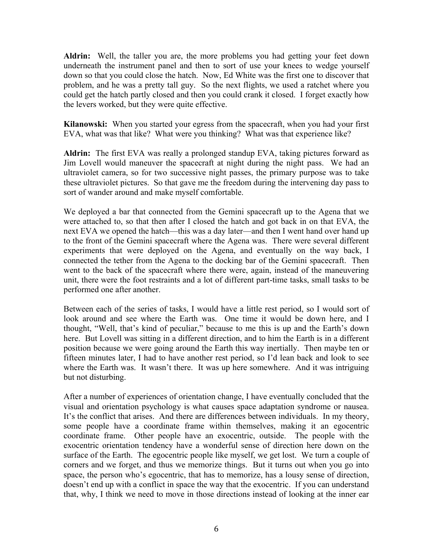**Aldrin:** Well, the taller you are, the more problems you had getting your feet down underneath the instrument panel and then to sort of use your knees to wedge yourself down so that you could close the hatch. Now, Ed White was the first one to discover that problem, and he was a pretty tall guy. So the next flights, we used a ratchet where you could get the hatch partly closed and then you could crank it closed. I forget exactly how the levers worked, but they were quite effective.

**Kilanowski:** When you started your egress from the spacecraft, when you had your first EVA, what was that like? What were you thinking? What was that experience like?

**Aldrin:** The first EVA was really a prolonged standup EVA, taking pictures forward as Jim Lovell would maneuver the spacecraft at night during the night pass. We had an ultraviolet camera, so for two successive night passes, the primary purpose was to take these ultraviolet pictures. So that gave me the freedom during the intervening day pass to sort of wander around and make myself comfortable.

We deployed a bar that connected from the Gemini spacecraft up to the Agena that we were attached to, so that then after I closed the hatch and got back in on that EVA, the next EVA we opened the hatch—this was a day later—and then I went hand over hand up to the front of the Gemini spacecraft where the Agena was. There were several different experiments that were deployed on the Agena, and eventually on the way back, I connected the tether from the Agena to the docking bar of the Gemini spacecraft. Then went to the back of the spacecraft where there were, again, instead of the maneuvering unit, there were the foot restraints and a lot of different part-time tasks, small tasks to be performed one after another.

Between each of the series of tasks, I would have a little rest period, so I would sort of look around and see where the Earth was. One time it would be down here, and I thought, "Well, that's kind of peculiar," because to me this is up and the Earth's down here. But Lovell was sitting in a different direction, and to him the Earth is in a different position because we were going around the Earth this way inertially. Then maybe ten or fifteen minutes later, I had to have another rest period, so I'd lean back and look to see where the Earth was. It wasn't there. It was up here somewhere. And it was intriguing but not disturbing.

After a number of experiences of orientation change, I have eventually concluded that the visual and orientation psychology is what causes space adaptation syndrome or nausea. It's the conflict that arises. And there are differences between individuals. In my theory, some people have a coordinate frame within themselves, making it an egocentric coordinate frame. Other people have an exocentric, outside. The people with the exocentric orientation tendency have a wonderful sense of direction here down on the surface of the Earth. The egocentric people like myself, we get lost. We turn a couple of corners and we forget, and thus we memorize things. But it turns out when you go into space, the person who's egocentric, that has to memorize, has a lousy sense of direction, doesn't end up with a conflict in space the way that the exocentric. If you can understand that, why, I think we need to move in those directions instead of looking at the inner ear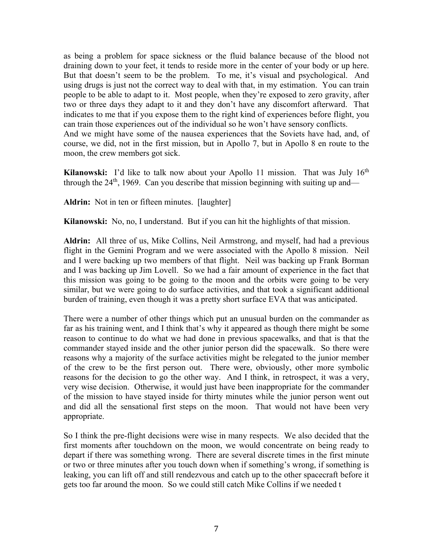as being a problem for space sickness or the fluid balance because of the blood not draining down to your feet, it tends to reside more in the center of your body or up here. But that doesn't seem to be the problem. To me, it's visual and psychological. And using drugs is just not the correct way to deal with that, in my estimation. You can train people to be able to adapt to it. Most people, when they're exposed to zero gravity, after two or three days they adapt to it and they don't have any discomfort afterward. That indicates to me that if you expose them to the right kind of experiences before flight, you can train those experiences out of the individual so he won't have sensory conflicts. And we might have some of the nausea experiences that the Soviets have had, and, of course, we did, not in the first mission, but in Apollo 7, but in Apollo 8 en route to the moon, the crew members got sick.

**Kilanowski:** I'd like to talk now about your Apollo 11 mission. That was July 16<sup>th</sup> through the  $24<sup>th</sup>$ , 1969. Can you describe that mission beginning with suiting up and—

Aldrin: Not in ten or fifteen minutes. [laughter]

**Kilanowski:** No, no, I understand. But if you can hit the highlights of that mission.

**Aldrin:** All three of us, Mike Collins, Neil Armstrong, and myself, had had a previous flight in the Gemini Program and we were associated with the Apollo 8 mission. Neil and I were backing up two members of that flight. Neil was backing up Frank Borman and I was backing up Jim Lovell. So we had a fair amount of experience in the fact that this mission was going to be going to the moon and the orbits were going to be very similar, but we were going to do surface activities, and that took a significant additional burden of training, even though it was a pretty short surface EVA that was anticipated.

There were a number of other things which put an unusual burden on the commander as far as his training went, and I think that's why it appeared as though there might be some reason to continue to do what we had done in previous spacewalks, and that is that the commander stayed inside and the other junior person did the spacewalk. So there were reasons why a majority of the surface activities might be relegated to the junior member of the crew to be the first person out. There were, obviously, other more symbolic reasons for the decision to go the other way. And I think, in retrospect, it was a very, very wise decision. Otherwise, it would just have been inappropriate for the commander of the mission to have stayed inside for thirty minutes while the junior person went out and did all the sensational first steps on the moon. That would not have been very appropriate.

So I think the pre-flight decisions were wise in many respects. We also decided that the first moments after touchdown on the moon, we would concentrate on being ready to depart if there was something wrong. There are several discrete times in the first minute or two or three minutes after you touch down when if something's wrong, if something is leaking, you can lift off and still rendezvous and catch up to the other spacecraft before it gets too far around the moon. So we could still catch Mike Collins if we needed t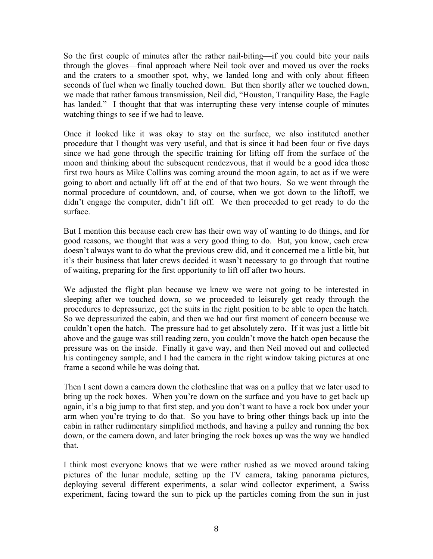So the first couple of minutes after the rather nail-biting—if you could bite your nails through the gloves—final approach where Neil took over and moved us over the rocks and the craters to a smoother spot, why, we landed long and with only about fifteen seconds of fuel when we finally touched down. But then shortly after we touched down, we made that rather famous transmission, Neil did, "Houston, Tranquility Base, the Eagle has landed." I thought that that was interrupting these very intense couple of minutes watching things to see if we had to leave.

Once it looked like it was okay to stay on the surface, we also instituted another procedure that I thought was very useful, and that is since it had been four or five days since we had gone through the specific training for lifting off from the surface of the moon and thinking about the subsequent rendezvous, that it would be a good idea those first two hours as Mike Collins was coming around the moon again, to act as if we were going to abort and actually lift off at the end of that two hours. So we went through the normal procedure of countdown, and, of course, when we got down to the liftoff, we didn't engage the computer, didn't lift off. We then proceeded to get ready to do the surface.

But I mention this because each crew has their own way of wanting to do things, and for good reasons, we thought that was a very good thing to do. But, you know, each crew doesn't always want to do what the previous crew did, and it concerned me a little bit, but it's their business that later crews decided it wasn't necessary to go through that routine of waiting, preparing for the first opportunity to lift off after two hours.

We adjusted the flight plan because we knew we were not going to be interested in sleeping after we touched down, so we proceeded to leisurely get ready through the procedures to depressurize, get the suits in the right position to be able to open the hatch. So we depressurized the cabin, and then we had our first moment of concern because we couldn't open the hatch. The pressure had to get absolutely zero. If it was just a little bit above and the gauge was still reading zero, you couldn't move the hatch open because the pressure was on the inside. Finally it gave way, and then Neil moved out and collected his contingency sample, and I had the camera in the right window taking pictures at one frame a second while he was doing that.

Then I sent down a camera down the clothesline that was on a pulley that we later used to bring up the rock boxes. When you're down on the surface and you have to get back up again, it's a big jump to that first step, and you don't want to have a rock box under your arm when you're trying to do that. So you have to bring other things back up into the cabin in rather rudimentary simplified methods, and having a pulley and running the box down, or the camera down, and later bringing the rock boxes up was the way we handled that.

I think most everyone knows that we were rather rushed as we moved around taking pictures of the lunar module, setting up the TV camera, taking panorama pictures, deploying several different experiments, a solar wind collector experiment, a Swiss experiment, facing toward the sun to pick up the particles coming from the sun in just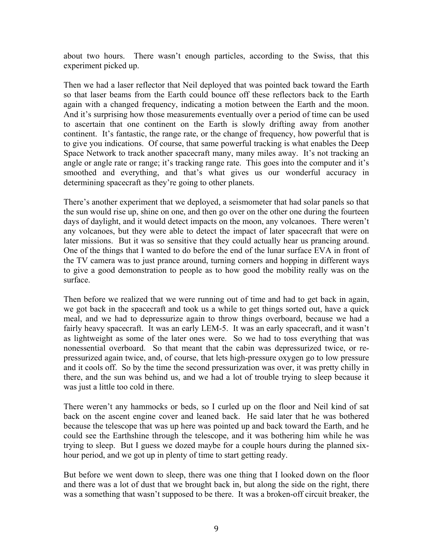about two hours. There wasn't enough particles, according to the Swiss, that this experiment picked up.

Then we had a laser reflector that Neil deployed that was pointed back toward the Earth so that laser beams from the Earth could bounce off these reflectors back to the Earth again with a changed frequency, indicating a motion between the Earth and the moon. And it's surprising how those measurements eventually over a period of time can be used to ascertain that one continent on the Earth is slowly drifting away from another continent. It's fantastic, the range rate, or the change of frequency, how powerful that is to give you indications. Of course, that same powerful tracking is what enables the Deep Space Network to track another spacecraft many, many miles away. It's not tracking an angle or angle rate or range; it's tracking range rate. This goes into the computer and it's smoothed and everything, and that's what gives us our wonderful accuracy in determining spacecraft as they're going to other planets.

There's another experiment that we deployed, a seismometer that had solar panels so that the sun would rise up, shine on one, and then go over on the other one during the fourteen days of daylight, and it would detect impacts on the moon, any volcanoes. There weren't any volcanoes, but they were able to detect the impact of later spacecraft that were on later missions. But it was so sensitive that they could actually hear us prancing around. One of the things that I wanted to do before the end of the lunar surface EVA in front of the TV camera was to just prance around, turning corners and hopping in different ways to give a good demonstration to people as to how good the mobility really was on the surface.

Then before we realized that we were running out of time and had to get back in again, we got back in the spacecraft and took us a while to get things sorted out, have a quick meal, and we had to depressurize again to throw things overboard, because we had a fairly heavy spacecraft. It was an early LEM-5. It was an early spacecraft, and it wasn't as lightweight as some of the later ones were. So we had to toss everything that was nonessential overboard. So that meant that the cabin was depressurized twice, or repressurized again twice, and, of course, that lets high-pressure oxygen go to low pressure and it cools off. So by the time the second pressurization was over, it was pretty chilly in there, and the sun was behind us, and we had a lot of trouble trying to sleep because it was just a little too cold in there.

There weren't any hammocks or beds, so I curled up on the floor and Neil kind of sat back on the ascent engine cover and leaned back. He said later that he was bothered because the telescope that was up here was pointed up and back toward the Earth, and he could see the Earthshine through the telescope, and it was bothering him while he was trying to sleep. But I guess we dozed maybe for a couple hours during the planned sixhour period, and we got up in plenty of time to start getting ready.

But before we went down to sleep, there was one thing that I looked down on the floor and there was a lot of dust that we brought back in, but along the side on the right, there was a something that wasn't supposed to be there. It was a broken-off circuit breaker, the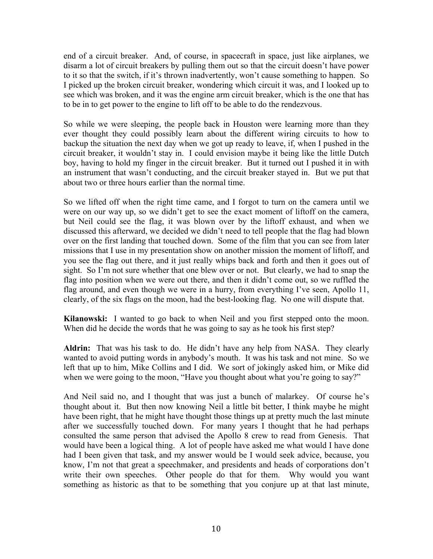end of a circuit breaker. And, of course, in spacecraft in space, just like airplanes, we disarm a lot of circuit breakers by pulling them out so that the circuit doesn't have power to it so that the switch, if it's thrown inadvertently, won't cause something to happen. So I picked up the broken circuit breaker, wondering which circuit it was, and I looked up to see which was broken, and it was the engine arm circuit breaker, which is the one that has to be in to get power to the engine to lift off to be able to do the rendezvous.

So while we were sleeping, the people back in Houston were learning more than they ever thought they could possibly learn about the different wiring circuits to how to backup the situation the next day when we got up ready to leave, if, when I pushed in the circuit breaker, it wouldn't stay in. I could envision maybe it being like the little Dutch boy, having to hold my finger in the circuit breaker. But it turned out I pushed it in with an instrument that wasn't conducting, and the circuit breaker stayed in. But we put that about two or three hours earlier than the normal time.

So we lifted off when the right time came, and I forgot to turn on the camera until we were on our way up, so we didn't get to see the exact moment of liftoff on the camera, but Neil could see the flag, it was blown over by the liftoff exhaust, and when we discussed this afterward, we decided we didn't need to tell people that the flag had blown over on the first landing that touched down. Some of the film that you can see from later missions that I use in my presentation show on another mission the moment of liftoff, and you see the flag out there, and it just really whips back and forth and then it goes out of sight. So I'm not sure whether that one blew over or not. But clearly, we had to snap the flag into position when we were out there, and then it didn't come out, so we ruffled the flag around, and even though we were in a hurry, from everything I've seen, Apollo 11, clearly, of the six flags on the moon, had the best-looking flag. No one will dispute that.

**Kilanowski:** I wanted to go back to when Neil and you first stepped onto the moon. When did he decide the words that he was going to say as he took his first step?

**Aldrin:** That was his task to do. He didn't have any help from NASA. They clearly wanted to avoid putting words in anybody's mouth. It was his task and not mine. So we left that up to him, Mike Collins and I did. We sort of jokingly asked him, or Mike did when we were going to the moon, "Have you thought about what you're going to say?"

And Neil said no, and I thought that was just a bunch of malarkey. Of course he's thought about it. But then now knowing Neil a little bit better, I think maybe he might have been right, that he might have thought those things up at pretty much the last minute after we successfully touched down. For many years I thought that he had perhaps consulted the same person that advised the Apollo 8 crew to read from Genesis. That would have been a logical thing. A lot of people have asked me what would I have done had I been given that task, and my answer would be I would seek advice, because, you know, I'm not that great a speechmaker, and presidents and heads of corporations don't write their own speeches. Other people do that for them. Why would you want something as historic as that to be something that you conjure up at that last minute,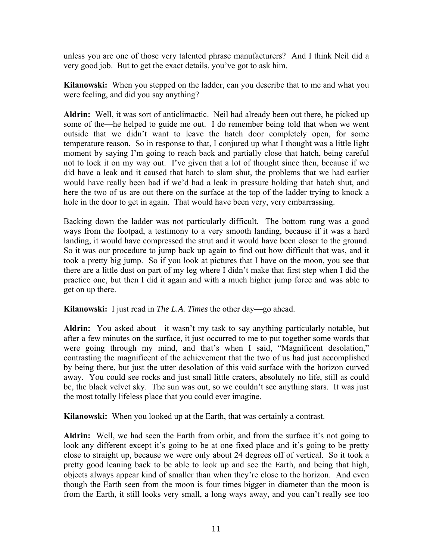unless you are one of those very talented phrase manufacturers? And I think Neil did a very good job. But to get the exact details, you've got to ask him.

**Kilanowski:** When you stepped on the ladder, can you describe that to me and what you were feeling, and did you say anything?

**Aldrin:** Well, it was sort of anticlimactic. Neil had already been out there, he picked up some of the—he helped to guide me out. I do remember being told that when we went outside that we didn't want to leave the hatch door completely open, for some temperature reason. So in response to that, I conjured up what I thought was a little light moment by saying I'm going to reach back and partially close that hatch, being careful not to lock it on my way out. I've given that a lot of thought since then, because if we did have a leak and it caused that hatch to slam shut, the problems that we had earlier would have really been bad if we'd had a leak in pressure holding that hatch shut, and here the two of us are out there on the surface at the top of the ladder trying to knock a hole in the door to get in again. That would have been very, very embarrassing.

Backing down the ladder was not particularly difficult. The bottom rung was a good ways from the footpad, a testimony to a very smooth landing, because if it was a hard landing, it would have compressed the strut and it would have been closer to the ground. So it was our procedure to jump back up again to find out how difficult that was, and it took a pretty big jump. So if you look at pictures that I have on the moon, you see that there are a little dust on part of my leg where I didn't make that first step when I did the practice one, but then I did it again and with a much higher jump force and was able to get on up there.

**Kilanowski:** I just read in *The L.A. Times* the other day—go ahead.

**Aldrin:** You asked about—it wasn't my task to say anything particularly notable, but after a few minutes on the surface, it just occurred to me to put together some words that were going through my mind, and that's when I said, "Magnificent desolation," contrasting the magnificent of the achievement that the two of us had just accomplished by being there, but just the utter desolation of this void surface with the horizon curved away. You could see rocks and just small little craters, absolutely no life, still as could be, the black velvet sky. The sun was out, so we couldn't see anything stars. It was just the most totally lifeless place that you could ever imagine.

**Kilanowski:** When you looked up at the Earth, that was certainly a contrast.

**Aldrin:** Well, we had seen the Earth from orbit, and from the surface it's not going to look any different except it's going to be at one fixed place and it's going to be pretty close to straight up, because we were only about 24 degrees off of vertical. So it took a pretty good leaning back to be able to look up and see the Earth, and being that high, objects always appear kind of smaller than when they're close to the horizon. And even though the Earth seen from the moon is four times bigger in diameter than the moon is from the Earth, it still looks very small, a long ways away, and you can't really see too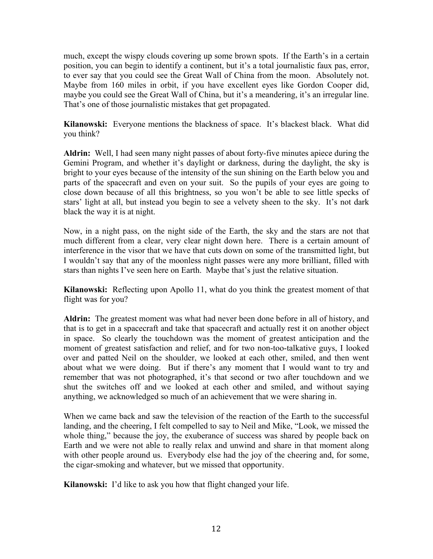much, except the wispy clouds covering up some brown spots. If the Earth's in a certain position, you can begin to identify a continent, but it's a total journalistic faux pas, error, to ever say that you could see the Great Wall of China from the moon. Absolutely not. Maybe from 160 miles in orbit, if you have excellent eyes like Gordon Cooper did, maybe you could see the Great Wall of China, but it's a meandering, it's an irregular line. That's one of those journalistic mistakes that get propagated.

**Kilanowski:** Everyone mentions the blackness of space. It's blackest black. What did you think?

**Aldrin:** Well, I had seen many night passes of about forty-five minutes apiece during the Gemini Program, and whether it's daylight or darkness, during the daylight, the sky is bright to your eyes because of the intensity of the sun shining on the Earth below you and parts of the spacecraft and even on your suit. So the pupils of your eyes are going to close down because of all this brightness, so you won't be able to see little specks of stars' light at all, but instead you begin to see a velvety sheen to the sky. It's not dark black the way it is at night.

Now, in a night pass, on the night side of the Earth, the sky and the stars are not that much different from a clear, very clear night down here. There is a certain amount of interference in the visor that we have that cuts down on some of the transmitted light, but I wouldn't say that any of the moonless night passes were any more brilliant, filled with stars than nights I've seen here on Earth. Maybe that's just the relative situation.

**Kilanowski:** Reflecting upon Apollo 11, what do you think the greatest moment of that flight was for you?

**Aldrin:** The greatest moment was what had never been done before in all of history, and that is to get in a spacecraft and take that spacecraft and actually rest it on another object in space. So clearly the touchdown was the moment of greatest anticipation and the moment of greatest satisfaction and relief, and for two non-too-talkative guys, I looked over and patted Neil on the shoulder, we looked at each other, smiled, and then went about what we were doing. But if there's any moment that I would want to try and remember that was not photographed, it's that second or two after touchdown and we shut the switches off and we looked at each other and smiled, and without saying anything, we acknowledged so much of an achievement that we were sharing in.

When we came back and saw the television of the reaction of the Earth to the successful landing, and the cheering, I felt compelled to say to Neil and Mike, "Look, we missed the whole thing," because the joy, the exuberance of success was shared by people back on Earth and we were not able to really relax and unwind and share in that moment along with other people around us. Everybody else had the joy of the cheering and, for some, the cigar-smoking and whatever, but we missed that opportunity.

**Kilanowski:** I'd like to ask you how that flight changed your life.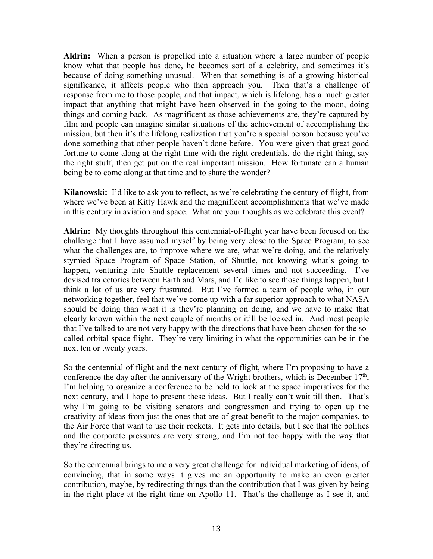**Aldrin:** When a person is propelled into a situation where a large number of people know what that people has done, he becomes sort of a celebrity, and sometimes it's because of doing something unusual. When that something is of a growing historical significance, it affects people who then approach you. Then that's a challenge of response from me to those people, and that impact, which is lifelong, has a much greater impact that anything that might have been observed in the going to the moon, doing things and coming back. As magnificent as those achievements are, they're captured by film and people can imagine similar situations of the achievement of accomplishing the mission, but then it's the lifelong realization that you're a special person because you've done something that other people haven't done before. You were given that great good fortune to come along at the right time with the right credentials, do the right thing, say the right stuff, then get put on the real important mission. How fortunate can a human being be to come along at that time and to share the wonder?

**Kilanowski:** I'd like to ask you to reflect, as we're celebrating the century of flight, from where we've been at Kitty Hawk and the magnificent accomplishments that we've made in this century in aviation and space. What are your thoughts as we celebrate this event?

**Aldrin:** My thoughts throughout this centennial-of-flight year have been focused on the challenge that I have assumed myself by being very close to the Space Program, to see what the challenges are, to improve where we are, what we're doing, and the relatively stymied Space Program of Space Station, of Shuttle, not knowing what's going to happen, venturing into Shuttle replacement several times and not succeeding. I've devised trajectories between Earth and Mars, and I'd like to see those things happen, but I think a lot of us are very frustrated. But I've formed a team of people who, in our networking together, feel that we've come up with a far superior approach to what NASA should be doing than what it is they're planning on doing, and we have to make that clearly known within the next couple of months or it'll be locked in. And most people that I've talked to are not very happy with the directions that have been chosen for the socalled orbital space flight. They're very limiting in what the opportunities can be in the next ten or twenty years.

So the centennial of flight and the next century of flight, where I'm proposing to have a conference the day after the anniversary of the Wright brothers, which is December  $17<sup>th</sup>$ , I'm helping to organize a conference to be held to look at the space imperatives for the next century, and I hope to present these ideas. But I really can't wait till then. That's why I'm going to be visiting senators and congressmen and trying to open up the creativity of ideas from just the ones that are of great benefit to the major companies, to the Air Force that want to use their rockets. It gets into details, but I see that the politics and the corporate pressures are very strong, and I'm not too happy with the way that they're directing us.

So the centennial brings to me a very great challenge for individual marketing of ideas, of convincing, that in some ways it gives me an opportunity to make an even greater contribution, maybe, by redirecting things than the contribution that I was given by being in the right place at the right time on Apollo 11. That's the challenge as I see it, and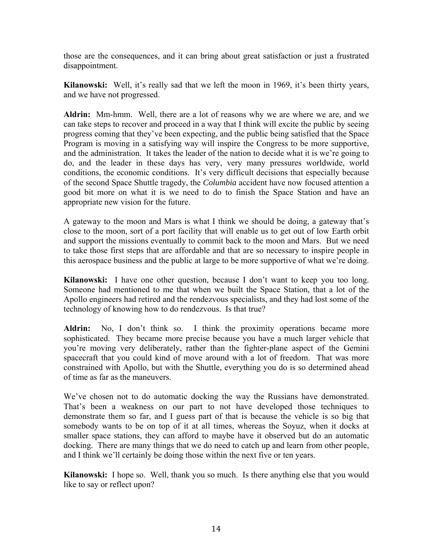those are the consequences, and it can bring about great satisfaction or just a frustrated disappointment.

**Kilanowski:** Well, it's really sad that we left the moon in 1969, it's been thirty years, and we have not progressed.

**Aldrin:** Mm-hmm. Well, there are a lot of reasons why we are where we are, and we can take steps to recover and proceed in a way that I think will excite the public by seeing progress coming that they've been expecting, and the public being satisfied that the Space Program is moving in a satisfying way will inspire the Congress to be more supportive, and the administration. It takes the leader of the nation to decide what it is we're going to do, and the leader in these days has very, very many pressures worldwide, world conditions, the economic conditions. It's very difficult decisions that especially because of the second Space Shuttle tragedy, the *Columbia* accident have now focused attention a good bit more on what it is we need to do to finish the Space Station and have an appropriate new vision for the future.

A gateway to the moon and Mars is what I think we should be doing, a gateway that's close to the moon, sort of a port facility that will enable us to get out of low Earth orbit and support the missions eventually to commit back to the moon and Mars. But we need to take those first steps that are affordable and that are so necessary to inspire people in this aerospace business and the public at large to be more supportive of what we're doing.

**Kilanowski:** I have one other question, because I don't want to keep you too long. Someone had mentioned to me that when we built the Space Station, that a lot of the Apollo engineers had retired and the rendezvous specialists, and they had lost some of the technology of knowing how to do rendezvous. Is that true?

**Aldrin:** No, I don't think so. I think the proximity operations became more sophisticated. They became more precise because you have a much larger vehicle that you're moving very deliberately, rather than the fighter-plane aspect of the Gemini spacecraft that you could kind of move around with a lot of freedom. That was more constrained with Apollo, but with the Shuttle, everything you do is so determined ahead of time as far as the maneuvers.

We've chosen not to do automatic docking the way the Russians have demonstrated. That's been a weakness on our part to not have developed those techniques to demonstrate them so far, and I guess part of that is because the vehicle is so big that somebody wants to be on top of it at all times, whereas the Soyuz, when it docks at smaller space stations, they can afford to maybe have it observed but do an automatic docking. There are many things that we do need to catch up and learn from other people, and I think we'll certainly be doing those within the next five or ten years.

**Kilanowski:** I hope so. Well, thank you so much. Is there anything else that you would like to say or reflect upon?